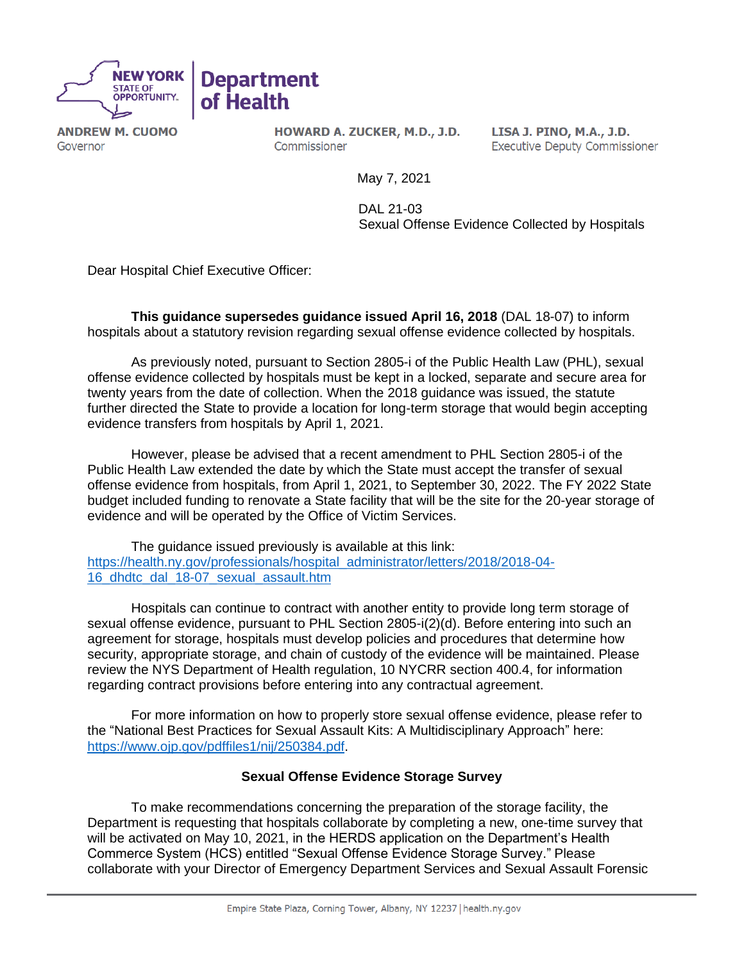

**ANDREW M. CUOMO** Governor

HOWARD A. ZUCKER, M.D., J.D. Commissioner

LISA J. PINO, M.A., J.D. **Executive Deputy Commissioner** 

May 7, 2021

 DAL 21-03 Sexual Offense Evidence Collected by Hospitals

Dear Hospital Chief Executive Officer:

**This guidance supersedes guidance issued April 16, 2018** (DAL 18-07) to inform hospitals about a statutory revision regarding sexual offense evidence collected by hospitals.

As previously noted, pursuant to Section 2805-i of the Public Health Law (PHL), sexual offense evidence collected by hospitals must be kept in a locked, separate and secure area for twenty years from the date of collection. When the 2018 guidance was issued, the statute further directed the State to provide a location for long-term storage that would begin accepting evidence transfers from hospitals by April 1, 2021.

However, please be advised that a recent amendment to PHL Section 2805-i of the Public Health Law extended the date by which the State must accept the transfer of sexual offense evidence from hospitals, from April 1, 2021, to September 30, 2022. The FY 2022 State budget included funding to renovate a State facility that will be the site for the 20-year storage of evidence and will be operated by the Office of Victim Services.

The guidance issued previously is available at this link: [https://health.ny.gov/professionals/hospital\\_administrator/letters/2018/2018-04-](https://health.ny.gov/professionals/hospital_administrator/letters/2018/2018-04-16_dhdtc_dal_18-07_sexual_assault.htm) [16\\_dhdtc\\_dal\\_18-07\\_sexual\\_assault.htm](https://health.ny.gov/professionals/hospital_administrator/letters/2018/2018-04-16_dhdtc_dal_18-07_sexual_assault.htm)

Hospitals can continue to contract with another entity to provide long term storage of sexual offense evidence, pursuant to PHL Section 2805-i(2)(d). Before entering into such an agreement for storage, hospitals must develop policies and procedures that determine how security, appropriate storage, and chain of custody of the evidence will be maintained. Please review the NYS Department of Health regulation, 10 NYCRR section 400.4, for information regarding contract provisions before entering into any contractual agreement.

For more information on how to properly store sexual offense evidence, please refer to the "National Best Practices for Sexual Assault Kits: A Multidisciplinary Approach" here: [https://www.ojp.gov/pdffiles1/nij/250384.pdf.](https://www.ojp.gov/pdffiles1/nij/250384.pdf)

## **Sexual Offense Evidence Storage Survey**

To make recommendations concerning the preparation of the storage facility, the Department is requesting that hospitals collaborate by completing a new, one-time survey that will be activated on May 10, 2021, in the HERDS application on the Department's Health Commerce System (HCS) entitled "Sexual Offense Evidence Storage Survey." Please collaborate with your Director of Emergency Department Services and Sexual Assault Forensic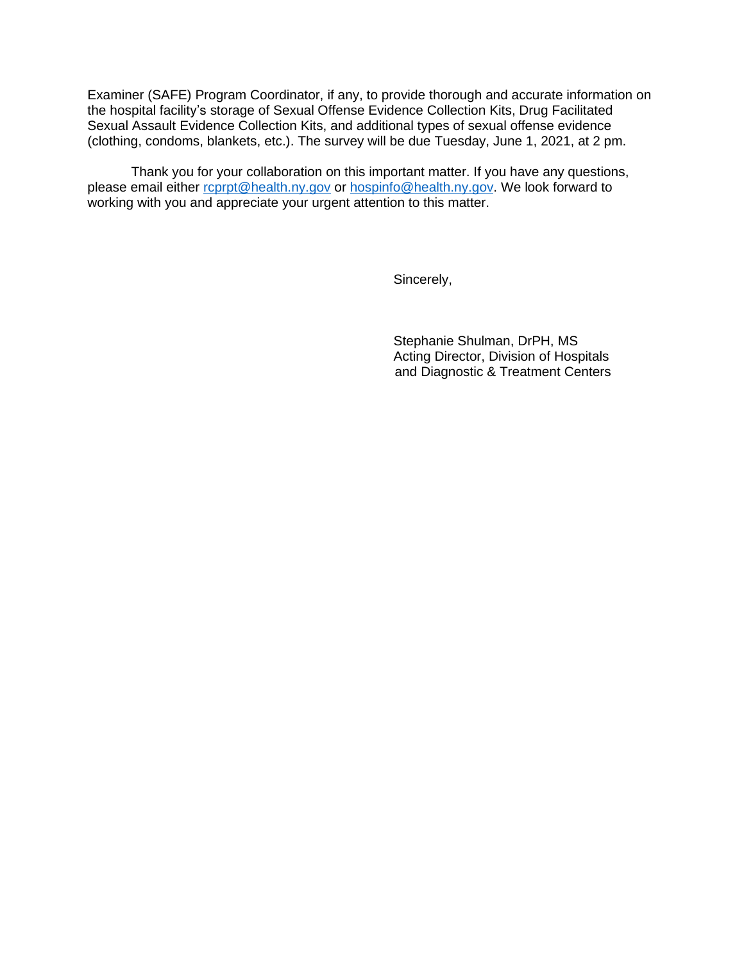Examiner (SAFE) Program Coordinator, if any, to provide thorough and accurate information on the hospital facility's storage of Sexual Offense Evidence Collection Kits, Drug Facilitated Sexual Assault Evidence Collection Kits, and additional types of sexual offense evidence (clothing, condoms, blankets, etc.). The survey will be due Tuesday, June 1, 2021, at 2 pm.

Thank you for your collaboration on this important matter. If you have any questions, please email either [rcprpt@health.ny.gov](mailto:rcprpt@health.ny.gov) or [hospinfo@health.ny.gov.](mailto:hospinfo@health.ny.gov) We look forward to working with you and appreciate your urgent attention to this matter.

Sincerely,

Stephanie Shulman, DrPH, MS Acting Director, Division of Hospitals and Diagnostic & Treatment Centers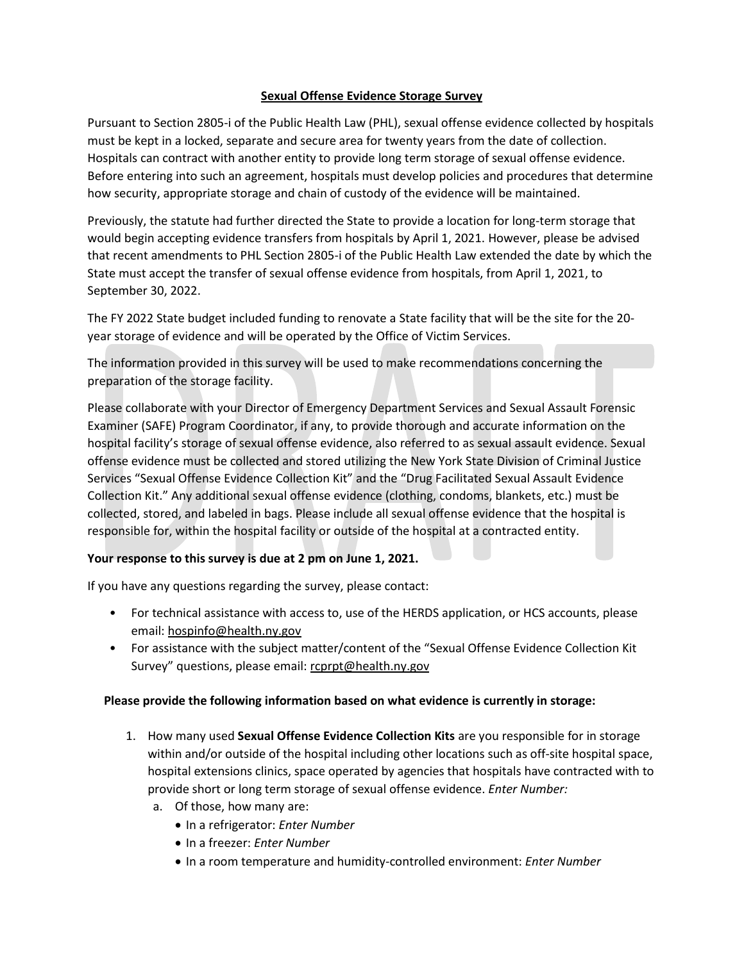## **Sexual Offense Evidence Storage Survey**

Pursuant to Section 2805-i of the Public Health Law (PHL), sexual offense evidence collected by hospitals must be kept in a locked, separate and secure area for twenty years from the date of collection. Hospitals can contract with another entity to provide long term storage of sexual offense evidence. Before entering into such an agreement, hospitals must develop policies and procedures that determine how security, appropriate storage and chain of custody of the evidence will be maintained.

Previously, the statute had further directed the State to provide a location for long-term storage that would begin accepting evidence transfers from hospitals by April 1, 2021. However, please be advised that recent amendments to PHL Section 2805-i of the Public Health Law extended the date by which the State must accept the transfer of sexual offense evidence from hospitals, from April 1, 2021, to September 30, 2022.

The FY 2022 State budget included funding to renovate a State facility that will be the site for the 20 year storage of evidence and will be operated by the Office of Victim Services.

The information provided in this survey will be used to make recommendations concerning the preparation of the storage facility.

Please collaborate with your Director of Emergency Department Services and Sexual Assault Forensic Examiner (SAFE) Program Coordinator, if any, to provide thorough and accurate information on the hospital facility's storage of sexual offense evidence, also referred to as sexual assault evidence. Sexual offense evidence must be collected and stored utilizing the New York State Division of Criminal Justice Services "Sexual Offense Evidence Collection Kit" and the "Drug Facilitated Sexual Assault Evidence Collection Kit." Any additional sexual offense evidence (clothing, condoms, blankets, etc.) must be collected, stored, and labeled in bags. Please include all sexual offense evidence that the hospital is responsible for, within the hospital facility or outside of the hospital at a contracted entity.

## **Your response to this survey is due at 2 pm on June 1, 2021.**

If you have any questions regarding the survey, please contact:

- For technical assistance with access to, use of the HERDS application, or HCS accounts, please email: [hospinfo@health.ny.gov](mailto:hospinfo@health.ny.gov)
- For assistance with the subject matter/content of the "Sexual Offense Evidence Collection Kit Survey" questions, please email: [rcprpt@health.ny.gov](mailto:rcprpt@health.ny.gov)

## **Please provide the following information based on what evidence is currently in storage:**

- 1. How many used **Sexual Offense Evidence Collection Kits** are you responsible for in storage within and/or outside of the hospital including other locations such as off-site hospital space, hospital extensions clinics, space operated by agencies that hospitals have contracted with to provide short or long term storage of sexual offense evidence. *Enter Number:*
	- a. Of those, how many are:
		- In a refrigerator: *Enter Number*
		- In a freezer: *Enter Number*
		- In a room temperature and humidity-controlled environment: *Enter Number*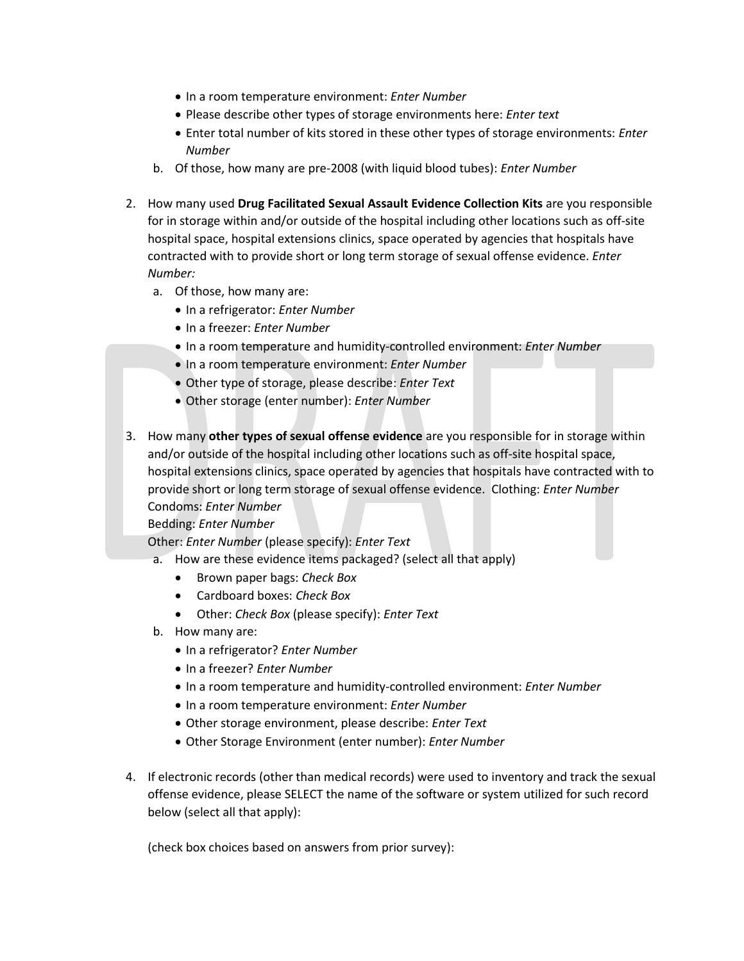- In a room temperature environment: *Enter Number*
- Please describe other types of storage environments here: *Enter text*
- Enter total number of kits stored in these other types of storage environments: *Enter Number*
- b. Of those, how many are pre-2008 (with liquid blood tubes): *Enter Number*
- 2. How many used **Drug Facilitated Sexual Assault Evidence Collection Kits** are you responsible for in storage within and/or outside of the hospital including other locations such as off-site hospital space, hospital extensions clinics, space operated by agencies that hospitals have contracted with to provide short or long term storage of sexual offense evidence. *Enter Number:*
	- a. Of those, how many are:
		- In a refrigerator: *Enter Number*
		- In a freezer: *Enter Number*
		- In a room temperature and humidity-controlled environment: *Enter Number*
		- In a room temperature environment: *Enter Number*
		- Other type of storage, please describe: *Enter Text*
		- Other storage (enter number): *Enter Number*
- 3. How many **other types of sexual offense evidence** are you responsible for in storage within and/or outside of the hospital including other locations such as off-site hospital space, hospital extensions clinics, space operated by agencies that hospitals have contracted with to provide short or long term storage of sexual offense evidence. Clothing: *Enter Number* Condoms: *Enter Number*

Bedding: *Enter Number*

Other: *Enter Number* (please specify): *Enter Text* 

- a. How are these evidence items packaged? (select all that apply)
	- Brown paper bags: *Check Box*
	- Cardboard boxes: *Check Box*
	- Other: *Check Box* (please specify): *Enter Text*
- b. How many are:
	- In a refrigerator? *Enter Number*
	- In a freezer? *Enter Number*
	- In a room temperature and humidity-controlled environment: *Enter Number*
	- In a room temperature environment: *Enter Number*
	- Other storage environment, please describe: *Enter Text*
	- Other Storage Environment (enter number): *Enter Number*
- 4. If electronic records (other than medical records) were used to inventory and track the sexual offense evidence, please SELECT the name of the software or system utilized for such record below (select all that apply):

(check box choices based on answers from prior survey):